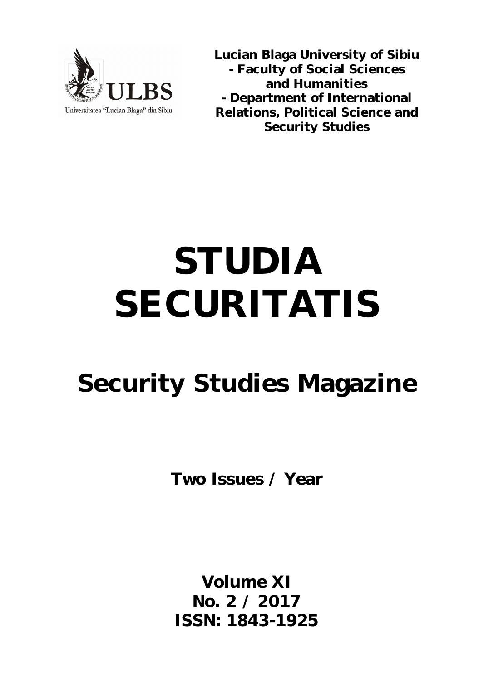

**Lucian Blaga University of Sibiu - Faculty of Social Sciences and Humanities - Department of International Relations, Political Science and Security Studies**

# **STUDIA SECURITATIS**

# **Security Studies Magazine**

**Two Issues / Year**

**Volume XI No. 2 / 2017 ISSN: 1843-1925**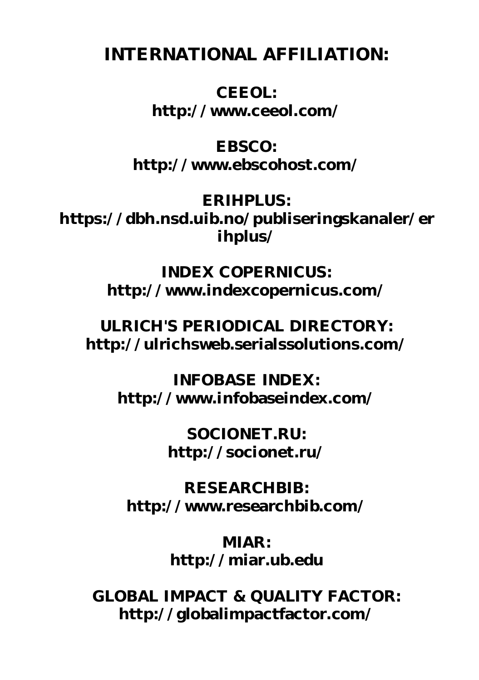**INTERNATIONAL AFFILIATION:**

**CEEOL: <http://www.ceeol.com/>**

**EBSCO: <http://www.ebscohost.com/>**

**ERIHPLUS: <https://dbh.nsd.uib.no/publiseringskanaler/er> ihplus/**

> **INDEX COPERNICUS: <http://www.indexcopernicus.com/>**

**ULRICH'S PERIODICAL DIRECTORY: <http://ulrichsweb.serialssolutions.com/>**

**INFOBASE INDEX: <http://www.infobaseindex.com/>** 

> **SOCIONET.RU: <http://socionet.ru/>**

**RESEARCHBIB: <http://www.researchbib.com/>**

> **MIAR: <http://miar.ub.edu>**

**GLOBAL IMPACT & QUALITY FACTOR: <http://globalimpactfactor.com/>**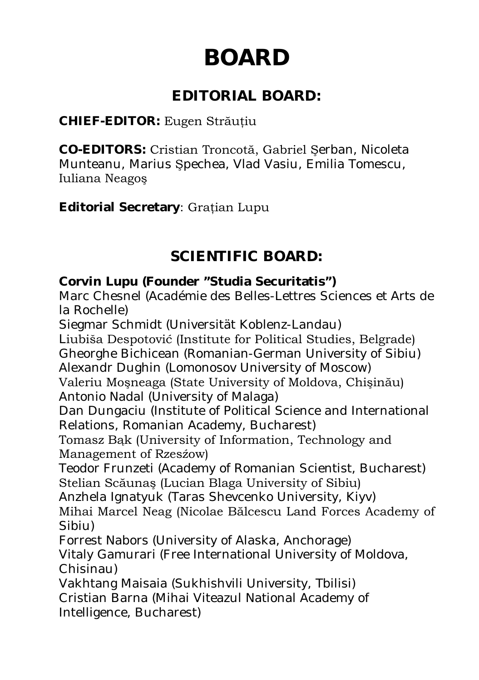# **BOARD**

## **EDITORIAL BOARD:**

#### **CHIEF-EDITOR:** Eugen Străuţiu

**CO-EDITORS:** Cristian Troncotă, Gabriel Şerban, Nicoleta Munteanu, Marius Şpechea, Vlad Vasiu, Emilia Tomescu, Iuliana Neagoş

**Editorial Secretary**: Graţian Lupu

## **SCIENTIFIC BOARD:**

#### **Corvin Lupu (Founder "Studia Securitatis")**

Marc Chesnel (Académie des Belles-Lettres Sciences et Arts de la Rochelle)

Siegmar Schmidt (Universität Koblenz-Landau)

Liubiša Despotović (Institute for Political Studies, Belgrade) Gheorghe Bichicean (Romanian-German University of Sibiu) Alexandr Dughin (Lomonosov University of Moscow)

Valeriu Moşneaga (State University of Moldova, Chişinău) Antonio Nadal (University of Malaga)

Dan Dungaciu (Institute of Political Science and International Relations, Romanian Academy, Bucharest)

Tomasz Bąk (University of Information, Technology and Management of Rzesźow)

Teodor Frunzeti (Academy of Romanian Scientist, Bucharest) Stelian Scăunaş (Lucian Blaga University of Sibiu)

Anzhela Ignatyuk (Taras Shevcenko University, Kiyv)

Mihai Marcel Neag (Nicolae Bălcescu Land Forces Academy of Sibiu)

Forrest Nabors (University of Alaska, Anchorage)

Vitaly Gamurari (Free International University of Moldova, Chisinau)

Vakhtang Maisaia (Sukhishvili University, Tbilisi) Cristian Barna (Mihai Viteazul National Academy of Intelligence, Bucharest)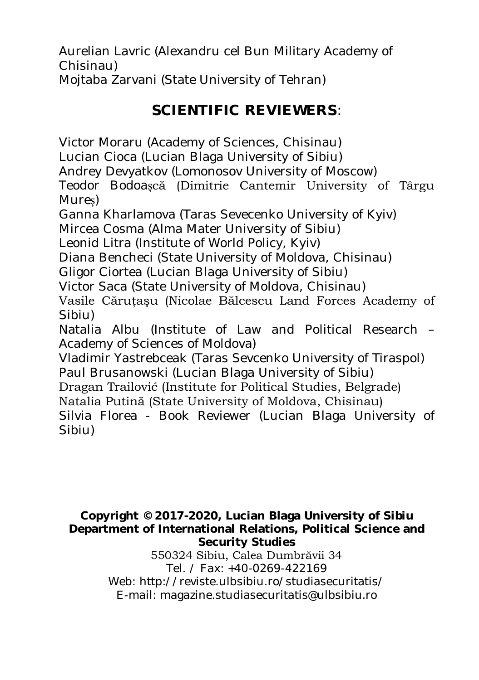Aurelian Lavric (Alexandru cel Bun Military Academy of Chisinau) Mojtaba Zarvani (State University of Tehran)

# **SCIENTIFIC REVIEWERS**:

Victor Moraru (Academy of Sciences, Chisinau) Lucian Cioca (Lucian Blaga University of Sibiu) Andrey Devyatkov (Lomonosov University of Moscow) Teodor Bodoașcă (Dimitrie Cantemir University of Târgu Mureș) Ganna Kharlamova (Taras Sevecenko University of Kyiv) Mircea Cosma (Alma Mater University of Sibiu) Leonid Litra (Institute of World Policy, Kyiv) Diana Bencheci (State University of Moldova, Chisinau) Gligor Ciortea (Lucian Blaga University of Sibiu) Victor Saca (State University of Moldova, Chisinau) Vasile Cărutașu (Nicolae Bălcescu Land Forces Academy of Sibiu) Natalia Albu (Institute of Law and Political Research – Academy of Sciences of Moldova) Vladimir Yastrebceak (Taras Sevcenko University of Tiraspol) Paul Brusanowski (Lucian Blaga University of Sibiu) Dragan Trailović (Institute for Political Studies, Belgrade)

Natalia Putină (State University of Moldova, Chisinau) Silvia Florea - Book Reviewer (Lucian Blaga University of Sibiu)

#### **Copyright © 2017-2020, Lucian Blaga University of Sibiu Department of International Relations, Political Science and Security Studies**

550324 Sibiu, Calea Dumbrăvii 34 Tel. / Fax: +40-0269-422169 Web:<http://reviste.ulbsibiu.ro/studiasecuritatis>*/* E-mail: [magazine.studiasecuritatis@ulbsibiu.ro](mailto:magazine.studiasecuritatis@ulbsibiu.ro)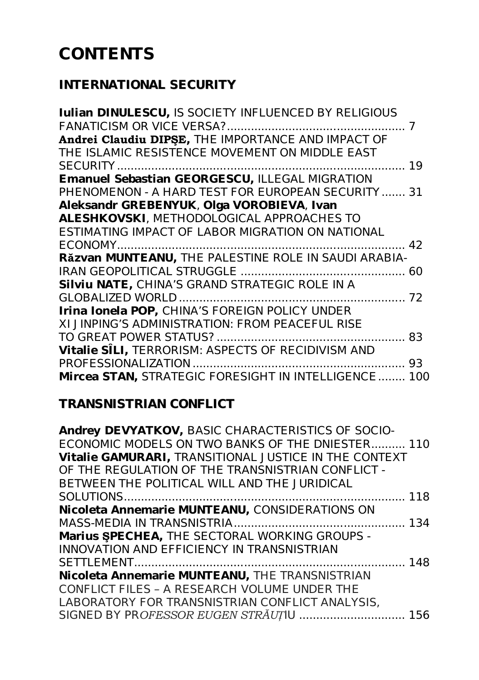# **CONTENTS**

#### *INTERNATIONAL SECURITY*

| Iulian DINULESCU, IS SOCIETY INFLUENCED BY RELIGIOUS      |   |
|-----------------------------------------------------------|---|
|                                                           | 7 |
| Andrei Claudiu DIPŞE, THE IMPORTANCE AND IMPACT OF        |   |
| THE ISLAMIC RESISTENCE MOVEMENT ON MIDDLE EAST            |   |
|                                                           |   |
| Emanuel Sebastian GEORGESCU, ILLEGAL MIGRATION            |   |
| PHENOMENON - A HARD TEST FOR EUROPEAN SECURITY 31         |   |
| Aleksandr GREBENYUK, Olga VOROBIEVA, Ivan                 |   |
| <b>ALESHKOVSKI</b> , METHODOLOGICAL APPROACHES TO         |   |
| ESTIMATING IMPACT OF LABOR MIGRATION ON NATIONAL          |   |
|                                                           |   |
| Răzvan MUNTEANU, THE PALESTINE ROLE IN SAUDI ARABIA-      |   |
|                                                           |   |
| Silviu NATE, CHINA'S GRAND STRATEGIC ROLE IN A            |   |
|                                                           |   |
| Irina Ionela POP, CHINA'S FOREIGN POLICY UNDER            |   |
| XI JINPING'S ADMINISTRATION: FROM PEACEFUL RISE           |   |
|                                                           |   |
| <b>Vitalie SÎLI,</b> TERRORISM: ASPECTS OF RECIDIVISM AND |   |
|                                                           |   |
| Mircea STAN, STRATEGIC FORESIGHT IN INTELLIGENCE 100      |   |
|                                                           |   |

#### *TRANSNISTRIAN CONFLICT*

| Andrey DEVYATKOV, BASIC CHARACTERISTICS OF SOCIO-            |  |
|--------------------------------------------------------------|--|
| ECONOMIC MODELS ON TWO BANKS OF THE DNIESTER 110             |  |
| <b>Vitalie GAMURARI, TRANSITIONAL JUSTICE IN THE CONTEXT</b> |  |
| OF THE REGULATION OF THE TRANSNISTRIAN CONFLICT -            |  |
| BETWEEN THE POLITICAL WILL AND THE JURIDICAL                 |  |
|                                                              |  |
| Nicoleta Annemarie MUNTEANU, CONSIDERATIONS ON               |  |
|                                                              |  |
| Marius SPECHEA, THE SECTORAL WORKING GROUPS -                |  |
| <b>INNOVATION AND EFFICIENCY IN TRANSNISTRIAN</b>            |  |
|                                                              |  |
| Nicoleta Annemarie MUNTEANU, THE TRANSNISTRIAN               |  |
| CONFLICT FILES - A RESEARCH VOLUME UNDER THE                 |  |
| LABORATORY FOR TRANSNISTRIAN CONFLICT ANALYSIS,              |  |
| SIGNED BY PROFESSOR EUGEN STRÄUȚIU  156                      |  |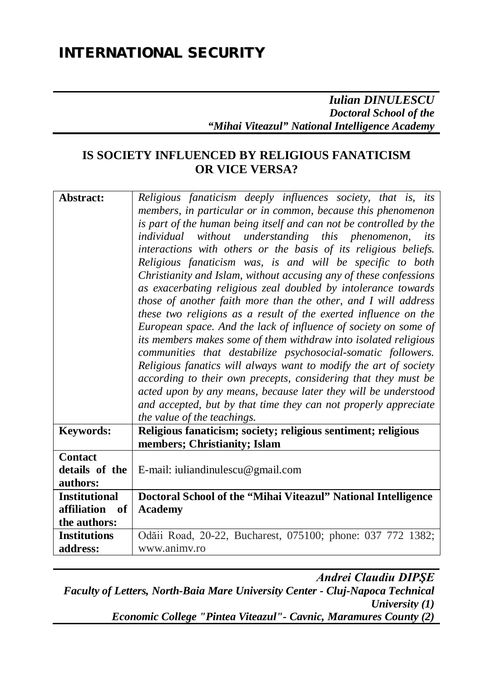#### *Iulian DINULESCU Doctoral School of the "Mihai Viteazul" National Intelligence Academy*

#### **IS SOCIETY INFLUENCED BY RELIGIOUS FANATICISM OR VICE VERSA?**

| Abstract:                                    | Religious fanaticism deeply influences society, that is, its<br>members, in particular or in common, because this phenomenon<br>is part of the human being itself and can not be controlled by the<br>individual without understanding this phenomenon, its<br>interactions with others or the basis of its religious beliefs.<br>Religious fanaticism was, is and will be specific to both<br>Christianity and Islam, without accusing any of these confessions<br>as exacerbating religious zeal doubled by intolerance towards<br>those of another faith more than the other, and I will address<br>these two religions as a result of the exerted influence on the<br>European space. And the lack of influence of society on some of<br>its members makes some of them withdraw into isolated religious<br>communities that destabilize psychosocial-somatic followers.<br>Religious fanatics will always want to modify the art of society<br>according to their own precepts, considering that they must be<br>acted upon by any means, because later they will be understood |
|----------------------------------------------|--------------------------------------------------------------------------------------------------------------------------------------------------------------------------------------------------------------------------------------------------------------------------------------------------------------------------------------------------------------------------------------------------------------------------------------------------------------------------------------------------------------------------------------------------------------------------------------------------------------------------------------------------------------------------------------------------------------------------------------------------------------------------------------------------------------------------------------------------------------------------------------------------------------------------------------------------------------------------------------------------------------------------------------------------------------------------------------|
|                                              | and accepted, but by that time they can not properly appreciate<br>the value of the teachings.                                                                                                                                                                                                                                                                                                                                                                                                                                                                                                                                                                                                                                                                                                                                                                                                                                                                                                                                                                                       |
| <b>Keywords:</b>                             | Religious fanaticism; society; religious sentiment; religious<br>members; Christianity; Islam                                                                                                                                                                                                                                                                                                                                                                                                                                                                                                                                                                                                                                                                                                                                                                                                                                                                                                                                                                                        |
| <b>Contact</b><br>details of the<br>authors: | E-mail: iuliandinulescu@gmail.com                                                                                                                                                                                                                                                                                                                                                                                                                                                                                                                                                                                                                                                                                                                                                                                                                                                                                                                                                                                                                                                    |
| <b>Institutional</b>                         | Doctoral School of the "Mihai Viteazul" National Intelligence                                                                                                                                                                                                                                                                                                                                                                                                                                                                                                                                                                                                                                                                                                                                                                                                                                                                                                                                                                                                                        |
| affiliation<br>of<br>the authors:            | <b>Academy</b>                                                                                                                                                                                                                                                                                                                                                                                                                                                                                                                                                                                                                                                                                                                                                                                                                                                                                                                                                                                                                                                                       |
| <b>Institutions</b><br>address:              | Odăii Road, 20-22, Bucharest, 075100; phone: 037 772 1382;<br>www.animy.ro                                                                                                                                                                                                                                                                                                                                                                                                                                                                                                                                                                                                                                                                                                                                                                                                                                                                                                                                                                                                           |

*Andrei Claudiu DIPŞE Faculty of Letters, North-Baia Mare University Center - Cluj-Napoca Technical University (1) Economic College "Pintea Viteazul"- Cavnic, Maramures County (2)*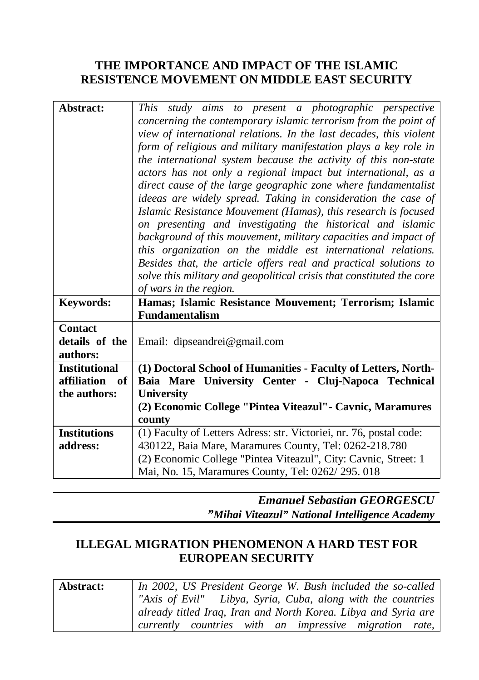#### **THE IMPORTANCE AND IMPACT OF THE ISLAMIC RESISTENCE MOVEMENT ON MIDDLE EAST SECURITY**

| Abstract:            | This study aims to present a photographic perspective                                                               |
|----------------------|---------------------------------------------------------------------------------------------------------------------|
|                      | concerning the contemporary islamic terrorism from the point of                                                     |
|                      | view of international relations. In the last decades, this violent                                                  |
|                      | form of religious and military manifestation plays a key role in                                                    |
|                      | the international system because the activity of this non-state                                                     |
|                      | actors has not only a regional impact but international, as a                                                       |
|                      | direct cause of the large geographic zone where fundamentalist                                                      |
|                      | ideeas are widely spread. Taking in consideration the case of                                                       |
|                      | Islamic Resistance Mouvement (Hamas), this research is focused                                                      |
|                      | on presenting and investigating the historical and islamic                                                          |
|                      | background of this mouvement, military capacities and impact of                                                     |
|                      | this organization on the middle est international relations.                                                        |
|                      | Besides that, the article offers real and practical solutions to                                                    |
|                      | solve this military and geopolitical crisis that constituted the core                                               |
|                      | of wars in the region.                                                                                              |
| <b>Keywords:</b>     | Hamas; Islamic Resistance Mouvement; Terrorism; Islamic                                                             |
|                      | <b>Fundamentalism</b>                                                                                               |
| <b>Contact</b>       |                                                                                                                     |
|                      |                                                                                                                     |
| details of the       | Email: dipseandrei@gmail.com                                                                                        |
| authors:             |                                                                                                                     |
| <b>Institutional</b> | (1) Doctoral School of Humanities - Faculty of Letters, North-                                                      |
| affiliation<br>- of  | Baia Mare University Center - Cluj-Napoca Technical                                                                 |
| the authors:         | <b>University</b>                                                                                                   |
|                      | (2) Economic College "Pintea Viteazul" - Cavnic, Maramures                                                          |
|                      | county                                                                                                              |
| <b>Institutions</b>  | (1) Faculty of Letters Adress: str. Victoriei, nr. 76, postal code:                                                 |
| address:             | 430122, Baia Mare, Maramures County, Tel: 0262-218.780                                                              |
|                      | (2) Economic College "Pintea Viteazul", City: Cavnic, Street: 1<br>Mai, No. 15, Maramures County, Tel: 0262/295.018 |

*Emanuel Sebastian GEORGESCU "Mihai Viteazul" National Intelligence Academy*

#### **ILLEGAL MIGRATION PHENOMENON A HARD TEST FOR EUROPEAN SECURITY**

| Abstract: | In 2002, US President George W. Bush included the so-called    |
|-----------|----------------------------------------------------------------|
|           | "Axis of Evil" Libya, Syria, Cuba, along with the countries    |
|           | already titled Iraq, Iran and North Korea. Libya and Syria are |
|           | currently countries with an impressive migration rate,         |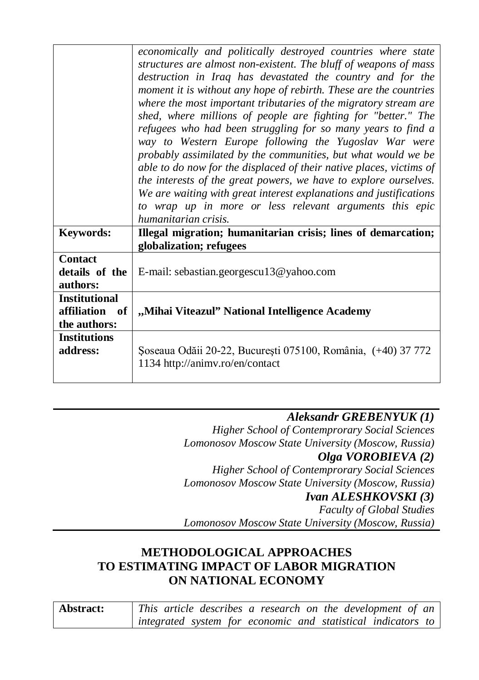|                                                        | economically and politically destroyed countries where state<br>structures are almost non-existent. The bluff of weapons of mass<br>destruction in Iraq has devastated the country and for the<br>moment it is without any hope of rebirth. These are the countries<br>where the most important tributaries of the migratory stream are<br>shed, where millions of people are fighting for "better." The<br>refugees who had been struggling for so many years to find a<br>way to Western Europe following the Yugoslav War were<br>probably assimilated by the communities, but what would we be<br>able to do now for the displaced of their native places, victims of<br>the interests of the great powers, we have to explore ourselves.<br>We are waiting with great interest explanations and justifications<br>to wrap up in more or less relevant arguments this epic<br>humanitarian crisis. |
|--------------------------------------------------------|--------------------------------------------------------------------------------------------------------------------------------------------------------------------------------------------------------------------------------------------------------------------------------------------------------------------------------------------------------------------------------------------------------------------------------------------------------------------------------------------------------------------------------------------------------------------------------------------------------------------------------------------------------------------------------------------------------------------------------------------------------------------------------------------------------------------------------------------------------------------------------------------------------|
| Keywords:                                              | Illegal migration; humanitarian crisis; lines of demarcation;<br>globalization; refugees                                                                                                                                                                                                                                                                                                                                                                                                                                                                                                                                                                                                                                                                                                                                                                                                               |
| <b>Contact</b>                                         |                                                                                                                                                                                                                                                                                                                                                                                                                                                                                                                                                                                                                                                                                                                                                                                                                                                                                                        |
| details of the<br>authors:                             | E-mail: sebastian.georgescu13@yahoo.com                                                                                                                                                                                                                                                                                                                                                                                                                                                                                                                                                                                                                                                                                                                                                                                                                                                                |
| <b>Institutional</b><br>affiliation of<br>the authors: | "Mihai Viteazul" National Intelligence Academy                                                                                                                                                                                                                                                                                                                                                                                                                                                                                                                                                                                                                                                                                                                                                                                                                                                         |
| <b>Institutions</b><br>address:                        | Soseaua Odăii 20-22, București 075100, România, (+40) 37 772<br>1134 http://animv.ro/en/contact                                                                                                                                                                                                                                                                                                                                                                                                                                                                                                                                                                                                                                                                                                                                                                                                        |

*Aleksandr GREBENYUK (1) Higher School of Contemprorary Social Sciences Lomonosov Moscow State University (Moscow, Russia) Olga VOROBIEVA (2) Higher School of Contemprorary Social Sciences Lomonosov Moscow State University (Moscow, Russia) Ivan ALESHKOVSKI (3) Faculty of Global Studies*

*Lomonosov Moscow State University (Moscow, Russia)*

#### **METHODOLOGICAL APPROACHES TO ESTIMATING IMPACT OF LABOR MIGRATION ON NATIONAL ECONOMY**

| Abstract: |  | This article describes a research on the development of an   |
|-----------|--|--------------------------------------------------------------|
|           |  | integrated system for economic and statistical indicators to |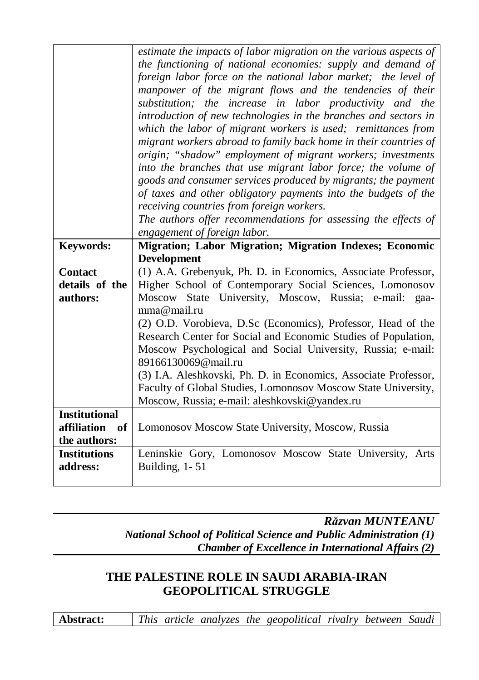|                      | estimate the impacts of labor migration on the various aspects of |
|----------------------|-------------------------------------------------------------------|
|                      | the functioning of national economies: supply and demand of       |
|                      | foreign labor force on the national labor market; the level of    |
|                      | manpower of the migrant flows and the tendencies of their         |
|                      | substitution; the increase in labor productivity and the          |
|                      | introduction of new technologies in the branches and sectors in   |
|                      | which the labor of migrant workers is used; remittances from      |
|                      | migrant workers abroad to family back home in their countries of  |
|                      | origin; "shadow" employment of migrant workers; investments       |
|                      | into the branches that use migrant labor force; the volume of     |
|                      | goods and consumer services produced by migrants; the payment     |
|                      | of taxes and other obligatory payments into the budgets of the    |
|                      | receiving countries from foreign workers.                         |
|                      | The authors offer recommendations for assessing the effects of    |
|                      | engagement of foreign labor.                                      |
| <b>Keywords:</b>     | <b>Migration; Labor Migration; Migration Indexes; Economic</b>    |
|                      | <b>Development</b>                                                |
| <b>Contact</b>       | (1) A.A. Grebenyuk, Ph. D. in Economics, Associate Professor,     |
|                      |                                                                   |
| details of the       | Higher School of Contemporary Social Sciences, Lomonosov          |
| authors:             | Moscow State University, Moscow, Russia; e-mail:<br>gaa-          |
|                      | mma@mail.ru                                                       |
|                      | (2) O.D. Vorobieva, D.Sc (Economics), Professor, Head of the      |
|                      | Research Center for Social and Economic Studies of Population,    |
|                      | Moscow Psychological and Social University, Russia; e-mail:       |
|                      | 89166130069@mail.ru                                               |
|                      | (3) I.A. Aleshkovski, Ph. D. in Economics, Associate Professor,   |
|                      | Faculty of Global Studies, Lomonosov Moscow State University,     |
|                      | Moscow, Russia; e-mail: aleshkovski@yandex.ru                     |
| <b>Institutional</b> |                                                                   |
| affiliation<br>of    | Lomonosov Moscow State University, Moscow, Russia                 |
| the authors:         |                                                                   |
| <b>Institutions</b>  | Leninskie Gory, Lomonosov Moscow State University, Arts           |
| address:             | Building, 1-51                                                    |

*Răzvan MUNTEANU National School of Political Science and Public Administration (1) Chamber of Excellence in International Affairs (2)*

#### **THE PALESTINE ROLE IN SAUDI ARABIA-IRAN GEOPOLITICAL STRUGGLE**

**Abstract:** *This article analyzes the geopolitical rivalry between Saudi*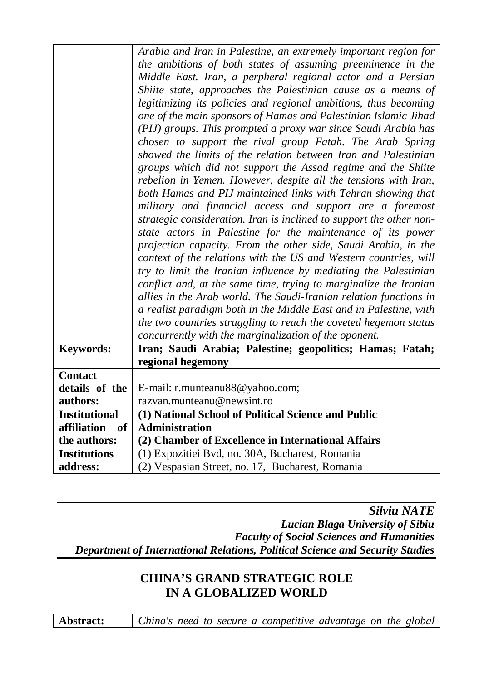|                                 | Arabia and Iran in Palestine, an extremely important region for                                     |
|---------------------------------|-----------------------------------------------------------------------------------------------------|
|                                 | the ambitions of both states of assuming preeminence in the                                         |
|                                 | Middle East. Iran, a perpheral regional actor and a Persian                                         |
|                                 | Shiite state, approaches the Palestinian cause as a means of                                        |
|                                 | legitimizing its policies and regional ambitions, thus becoming                                     |
|                                 | one of the main sponsors of Hamas and Palestinian Islamic Jihad                                     |
|                                 | (PIJ) groups. This prompted a proxy war since Saudi Arabia has                                      |
|                                 | chosen to support the rival group Fatah. The Arab Spring                                            |
|                                 | showed the limits of the relation between Iran and Palestinian                                      |
|                                 | groups which did not support the Assad regime and the Shiite                                        |
|                                 | rebelion in Yemen. However, despite all the tensions with Iran,                                     |
|                                 |                                                                                                     |
|                                 | both Hamas and PIJ maintained links with Tehran showing that                                        |
|                                 | military and financial access and support are a foremost                                            |
|                                 | strategic consideration. Iran is inclined to support the other non-                                 |
|                                 | state actors in Palestine for the maintenance of its power                                          |
|                                 | projection capacity. From the other side, Saudi Arabia, in the                                      |
|                                 | context of the relations with the US and Western countries, will                                    |
|                                 | try to limit the Iranian influence by mediating the Palestinian                                     |
|                                 | conflict and, at the same time, trying to marginalize the Iranian                                   |
|                                 |                                                                                                     |
|                                 | allies in the Arab world. The Saudi-Iranian relation functions in                                   |
|                                 | a realist paradigm both in the Middle East and in Palestine, with                                   |
|                                 | the two countries struggling to reach the coveted hegemon status                                    |
|                                 | concurrently with the marginalization of the oponent.                                               |
| <b>Keywords:</b>                | Iran; Saudi Arabia; Palestine; geopolitics; Hamas; Fatah;                                           |
|                                 | regional hegemony                                                                                   |
| <b>Contact</b>                  |                                                                                                     |
| details of the                  | E-mail: r.munteanu88@yahoo.com;                                                                     |
| authors:                        | razvan.munteanu@newsint.ro                                                                          |
| <b>Institutional</b>            | (1) National School of Political Science and Public                                                 |
| affiliation<br>of               | <b>Administration</b>                                                                               |
| the authors:                    | (2) Chamber of Excellence in International Affairs                                                  |
| <b>Institutions</b><br>address: | (1) Expozitiei Bvd, no. 30A, Bucharest, Romania<br>(2) Vespasian Street, no. 17, Bucharest, Romania |

*Silviu NATE Lucian Blaga University of Sibiu Faculty of Social Sciences and Humanities Department of International Relations, Political Science and Security Studies*

#### **CHINA'S GRAND STRATEGIC ROLE IN A GLOBALIZED WORLD**

**Abstract:** *China's need to secure a competitive advantage on the global*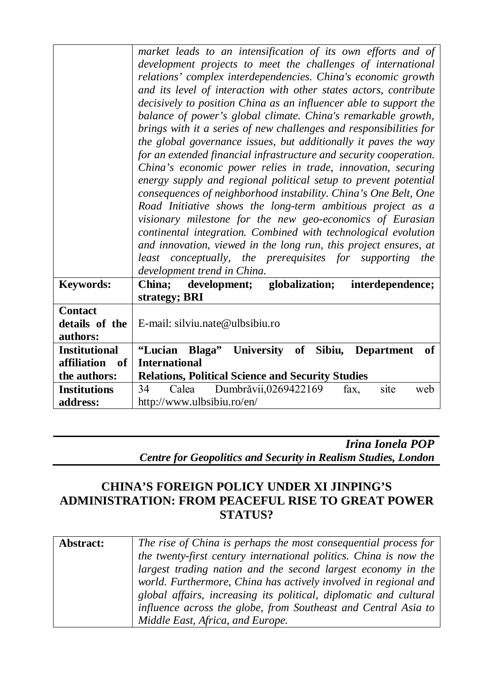| development projects to meet the challenges of international<br>relations' complex interdependencies. China's economic growth<br>and its level of interaction with other states actors, contribute<br>decisively to position China as an influencer able to support the<br>balance of power's global climate. China's remarkable growth,<br>brings with it a series of new challenges and responsibilities for<br>the global governance issues, but additionally it paves the way<br>for an extended financial infrastructure and security cooperation.<br>China's economic power relies in trade, innovation, securing<br>energy supply and regional political setup to prevent potential<br>consequences of neighborhood instability. China's One Belt, One<br>Road Initiative shows the long-term ambitious project as a<br>visionary milestone for the new geo-economics of Eurasian<br>continental integration. Combined with technological evolution<br>and innovation, viewed in the long run, this project ensures, at<br>least conceptually, the prerequisites for supporting the<br>development trend in China.<br><b>Keywords:</b><br>China;<br>development; globalization;<br>interdependence;<br>strategy; BRI<br><b>Contact</b><br>details of the<br>E-mail: silviu.nate@ulbsibiu.ro<br>authors:<br><b>Institutional</b><br>"Lucian Blaga" University of Sibiu, Department<br>of<br>affiliation<br><b>International</b><br>- of<br>the authors:<br><b>Relations, Political Science and Security Studies</b><br>Dumbrăvii,0269422169<br><b>Institutions</b><br>34<br>Calea<br>fax,<br>site<br>web |          |                                                              |
|----------------------------------------------------------------------------------------------------------------------------------------------------------------------------------------------------------------------------------------------------------------------------------------------------------------------------------------------------------------------------------------------------------------------------------------------------------------------------------------------------------------------------------------------------------------------------------------------------------------------------------------------------------------------------------------------------------------------------------------------------------------------------------------------------------------------------------------------------------------------------------------------------------------------------------------------------------------------------------------------------------------------------------------------------------------------------------------------------------------------------------------------------------------------------------------------------------------------------------------------------------------------------------------------------------------------------------------------------------------------------------------------------------------------------------------------------------------------------------------------------------------------------------------------------------------------------------------------------------------|----------|--------------------------------------------------------------|
|                                                                                                                                                                                                                                                                                                                                                                                                                                                                                                                                                                                                                                                                                                                                                                                                                                                                                                                                                                                                                                                                                                                                                                                                                                                                                                                                                                                                                                                                                                                                                                                                                |          | market leads to an intensification of its own efforts and of |
|                                                                                                                                                                                                                                                                                                                                                                                                                                                                                                                                                                                                                                                                                                                                                                                                                                                                                                                                                                                                                                                                                                                                                                                                                                                                                                                                                                                                                                                                                                                                                                                                                |          |                                                              |
|                                                                                                                                                                                                                                                                                                                                                                                                                                                                                                                                                                                                                                                                                                                                                                                                                                                                                                                                                                                                                                                                                                                                                                                                                                                                                                                                                                                                                                                                                                                                                                                                                |          |                                                              |
|                                                                                                                                                                                                                                                                                                                                                                                                                                                                                                                                                                                                                                                                                                                                                                                                                                                                                                                                                                                                                                                                                                                                                                                                                                                                                                                                                                                                                                                                                                                                                                                                                |          |                                                              |
|                                                                                                                                                                                                                                                                                                                                                                                                                                                                                                                                                                                                                                                                                                                                                                                                                                                                                                                                                                                                                                                                                                                                                                                                                                                                                                                                                                                                                                                                                                                                                                                                                |          |                                                              |
|                                                                                                                                                                                                                                                                                                                                                                                                                                                                                                                                                                                                                                                                                                                                                                                                                                                                                                                                                                                                                                                                                                                                                                                                                                                                                                                                                                                                                                                                                                                                                                                                                |          |                                                              |
|                                                                                                                                                                                                                                                                                                                                                                                                                                                                                                                                                                                                                                                                                                                                                                                                                                                                                                                                                                                                                                                                                                                                                                                                                                                                                                                                                                                                                                                                                                                                                                                                                |          |                                                              |
|                                                                                                                                                                                                                                                                                                                                                                                                                                                                                                                                                                                                                                                                                                                                                                                                                                                                                                                                                                                                                                                                                                                                                                                                                                                                                                                                                                                                                                                                                                                                                                                                                |          |                                                              |
|                                                                                                                                                                                                                                                                                                                                                                                                                                                                                                                                                                                                                                                                                                                                                                                                                                                                                                                                                                                                                                                                                                                                                                                                                                                                                                                                                                                                                                                                                                                                                                                                                |          |                                                              |
|                                                                                                                                                                                                                                                                                                                                                                                                                                                                                                                                                                                                                                                                                                                                                                                                                                                                                                                                                                                                                                                                                                                                                                                                                                                                                                                                                                                                                                                                                                                                                                                                                |          |                                                              |
|                                                                                                                                                                                                                                                                                                                                                                                                                                                                                                                                                                                                                                                                                                                                                                                                                                                                                                                                                                                                                                                                                                                                                                                                                                                                                                                                                                                                                                                                                                                                                                                                                |          |                                                              |
|                                                                                                                                                                                                                                                                                                                                                                                                                                                                                                                                                                                                                                                                                                                                                                                                                                                                                                                                                                                                                                                                                                                                                                                                                                                                                                                                                                                                                                                                                                                                                                                                                |          |                                                              |
|                                                                                                                                                                                                                                                                                                                                                                                                                                                                                                                                                                                                                                                                                                                                                                                                                                                                                                                                                                                                                                                                                                                                                                                                                                                                                                                                                                                                                                                                                                                                                                                                                |          |                                                              |
|                                                                                                                                                                                                                                                                                                                                                                                                                                                                                                                                                                                                                                                                                                                                                                                                                                                                                                                                                                                                                                                                                                                                                                                                                                                                                                                                                                                                                                                                                                                                                                                                                |          |                                                              |
|                                                                                                                                                                                                                                                                                                                                                                                                                                                                                                                                                                                                                                                                                                                                                                                                                                                                                                                                                                                                                                                                                                                                                                                                                                                                                                                                                                                                                                                                                                                                                                                                                |          |                                                              |
|                                                                                                                                                                                                                                                                                                                                                                                                                                                                                                                                                                                                                                                                                                                                                                                                                                                                                                                                                                                                                                                                                                                                                                                                                                                                                                                                                                                                                                                                                                                                                                                                                |          |                                                              |
|                                                                                                                                                                                                                                                                                                                                                                                                                                                                                                                                                                                                                                                                                                                                                                                                                                                                                                                                                                                                                                                                                                                                                                                                                                                                                                                                                                                                                                                                                                                                                                                                                |          |                                                              |
|                                                                                                                                                                                                                                                                                                                                                                                                                                                                                                                                                                                                                                                                                                                                                                                                                                                                                                                                                                                                                                                                                                                                                                                                                                                                                                                                                                                                                                                                                                                                                                                                                |          |                                                              |
|                                                                                                                                                                                                                                                                                                                                                                                                                                                                                                                                                                                                                                                                                                                                                                                                                                                                                                                                                                                                                                                                                                                                                                                                                                                                                                                                                                                                                                                                                                                                                                                                                |          |                                                              |
|                                                                                                                                                                                                                                                                                                                                                                                                                                                                                                                                                                                                                                                                                                                                                                                                                                                                                                                                                                                                                                                                                                                                                                                                                                                                                                                                                                                                                                                                                                                                                                                                                |          |                                                              |
|                                                                                                                                                                                                                                                                                                                                                                                                                                                                                                                                                                                                                                                                                                                                                                                                                                                                                                                                                                                                                                                                                                                                                                                                                                                                                                                                                                                                                                                                                                                                                                                                                |          |                                                              |
|                                                                                                                                                                                                                                                                                                                                                                                                                                                                                                                                                                                                                                                                                                                                                                                                                                                                                                                                                                                                                                                                                                                                                                                                                                                                                                                                                                                                                                                                                                                                                                                                                |          |                                                              |
|                                                                                                                                                                                                                                                                                                                                                                                                                                                                                                                                                                                                                                                                                                                                                                                                                                                                                                                                                                                                                                                                                                                                                                                                                                                                                                                                                                                                                                                                                                                                                                                                                |          |                                                              |
|                                                                                                                                                                                                                                                                                                                                                                                                                                                                                                                                                                                                                                                                                                                                                                                                                                                                                                                                                                                                                                                                                                                                                                                                                                                                                                                                                                                                                                                                                                                                                                                                                |          |                                                              |
|                                                                                                                                                                                                                                                                                                                                                                                                                                                                                                                                                                                                                                                                                                                                                                                                                                                                                                                                                                                                                                                                                                                                                                                                                                                                                                                                                                                                                                                                                                                                                                                                                |          |                                                              |
|                                                                                                                                                                                                                                                                                                                                                                                                                                                                                                                                                                                                                                                                                                                                                                                                                                                                                                                                                                                                                                                                                                                                                                                                                                                                                                                                                                                                                                                                                                                                                                                                                |          |                                                              |
|                                                                                                                                                                                                                                                                                                                                                                                                                                                                                                                                                                                                                                                                                                                                                                                                                                                                                                                                                                                                                                                                                                                                                                                                                                                                                                                                                                                                                                                                                                                                                                                                                |          |                                                              |
|                                                                                                                                                                                                                                                                                                                                                                                                                                                                                                                                                                                                                                                                                                                                                                                                                                                                                                                                                                                                                                                                                                                                                                                                                                                                                                                                                                                                                                                                                                                                                                                                                | address: | http://www.ulbsibiu.ro/en/                                   |

*Irina Ionela POP Centre for Geopolitics and Security in Realism Studies, London*

#### **CHINA'S FOREIGN POLICY UNDER XI JINPING'S ADMINISTRATION: FROM PEACEFUL RISE TO GREAT POWER STATUS?**

| Abstract: | The rise of China is perhaps the most consequential process for   |
|-----------|-------------------------------------------------------------------|
|           | the twenty-first century international politics. China is now the |
|           | largest trading nation and the second largest economy in the      |
|           | world. Furthermore, China has actively involved in regional and   |
|           | global affairs, increasing its political, diplomatic and cultural |
|           | influence across the globe, from Southeast and Central Asia to    |
|           | Middle East, Africa, and Europe.                                  |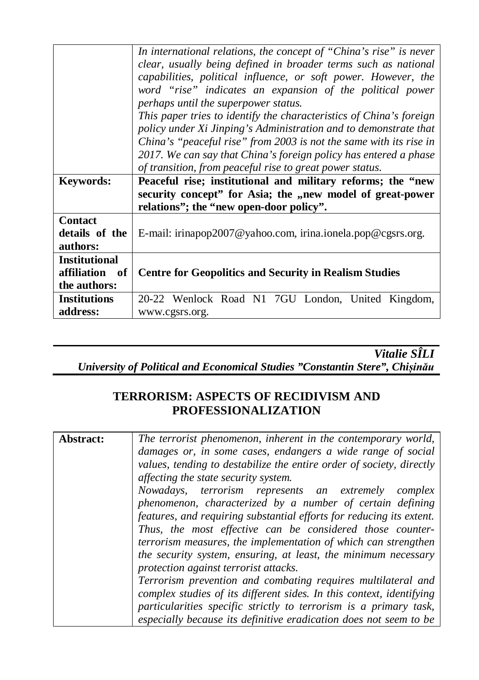|                                                           | In international relations, the concept of "China's rise" is never<br>clear, usually being defined in broader terms such as national<br>capabilities, political influence, or soft power. However, the<br>word "rise" indicates an expansion of the political power<br>perhaps until the superpower status.<br>This paper tries to identify the characteristics of China's foreign<br>policy under Xi Jinping's Administration and to demonstrate that<br>China's "peaceful rise" from 2003 is not the same with its rise in |
|-----------------------------------------------------------|------------------------------------------------------------------------------------------------------------------------------------------------------------------------------------------------------------------------------------------------------------------------------------------------------------------------------------------------------------------------------------------------------------------------------------------------------------------------------------------------------------------------------|
|                                                           | 2017. We can say that China's foreign policy has entered a phase<br>of transition, from peaceful rise to great power status.                                                                                                                                                                                                                                                                                                                                                                                                 |
| <b>Keywords:</b>                                          | Peaceful rise; institutional and military reforms; the "new<br>security concept" for Asia; the "new model of great-power<br>relations"; the "new open-door policy".                                                                                                                                                                                                                                                                                                                                                          |
| <b>Contact</b><br>details of the<br>authors:              | E-mail: irinapop2007@yahoo.com, irina.ionela.pop@cgsrs.org.                                                                                                                                                                                                                                                                                                                                                                                                                                                                  |
| <b>Institutional</b><br>affiliation<br>of<br>the authors: | <b>Centre for Geopolitics and Security in Realism Studies</b>                                                                                                                                                                                                                                                                                                                                                                                                                                                                |
| <b>Institutions</b><br>address:                           | 20-22 Wenlock Road N1 7GU London, United Kingdom,<br>www.cgsrs.org.                                                                                                                                                                                                                                                                                                                                                                                                                                                          |

*Vitalie SÎLI University of Political and Economical Studies "Constantin Stere", Chișinău*

#### **TERRORISM: ASPECTS OF RECIDIVISM AND PROFESSIONALIZATION**

| Abstract:                                                                                                              | The terrorist phenomenon, inherent in the contemporary world,        |                                                                |
|------------------------------------------------------------------------------------------------------------------------|----------------------------------------------------------------------|----------------------------------------------------------------|
|                                                                                                                        | damages or, in some cases, endangers a wide range of social          |                                                                |
|                                                                                                                        | values, tending to destabilize the entire order of society, directly |                                                                |
|                                                                                                                        | affecting the state security system.                                 |                                                                |
| phenomenon, characterized by a number of certain defining<br>Thus, the most effective can be considered those counter- | Nowadays, terrorism represents an extremely complex                  |                                                                |
|                                                                                                                        | features, and requiring substantial efforts for reducing its extent. |                                                                |
|                                                                                                                        |                                                                      | terrorism measures, the implementation of which can strengthen |
|                                                                                                                        |                                                                      | the security system, ensuring, at least, the minimum necessary |
|                                                                                                                        | protection against terrorist attacks.                                |                                                                |
|                                                                                                                        | Terrorism prevention and combating requires multilateral and         |                                                                |
|                                                                                                                        | complex studies of its different sides. In this context, identifying |                                                                |
|                                                                                                                        | particularities specific strictly to terrorism is a primary task,    |                                                                |
|                                                                                                                        | especially because its definitive eradication does not seem to be    |                                                                |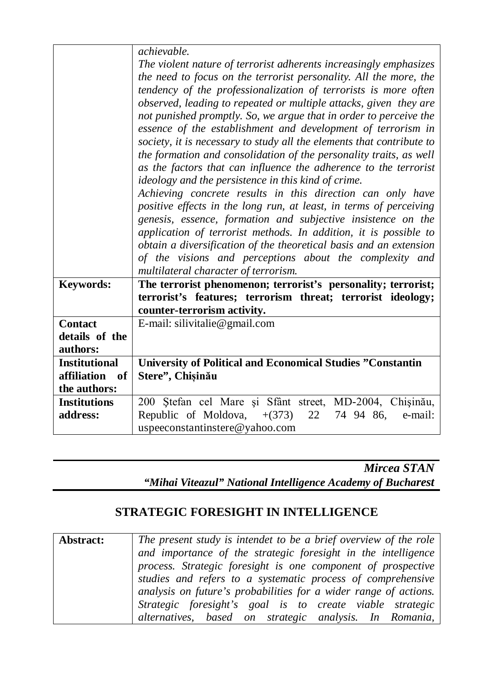|                      | achievable.                                                           |  |
|----------------------|-----------------------------------------------------------------------|--|
|                      | The violent nature of terrorist adherents increasingly emphasizes     |  |
|                      | the need to focus on the terrorist personality. All the more, the     |  |
|                      | tendency of the professionalization of terrorists is more often       |  |
|                      | observed, leading to repeated or multiple attacks, given they are     |  |
|                      | not punished promptly. So, we argue that in order to perceive the     |  |
|                      | essence of the establishment and development of terrorism in          |  |
|                      | society, it is necessary to study all the elements that contribute to |  |
|                      | the formation and consolidation of the personality traits, as well    |  |
|                      | as the factors that can influence the adherence to the terrorist      |  |
|                      | ideology and the persistence in this kind of crime.                   |  |
|                      | Achieving concrete results in this direction can only have            |  |
|                      | positive effects in the long run, at least, in terms of perceiving    |  |
|                      | genesis, essence, formation and subjective insistence on the          |  |
|                      | application of terrorist methods. In addition, it is possible to      |  |
|                      | obtain a diversification of the theoretical basis and an extension    |  |
|                      | of the visions and perceptions about the complexity and               |  |
|                      | multilateral character of terrorism.                                  |  |
| <b>Keywords:</b>     | The terrorist phenomenon; terrorist's personality; terrorist;         |  |
|                      | terrorist's features; terrorism threat; terrorist ideology;           |  |
|                      | counter-terrorism activity.                                           |  |
| <b>Contact</b>       | E-mail: silivitalie@gmail.com                                         |  |
| details of the       |                                                                       |  |
| authors:             |                                                                       |  |
| <b>Institutional</b> | <b>University of Political and Economical Studies "Constantin</b>     |  |
| affiliation<br>- of  | Stere", Chișinău                                                      |  |
| the authors:         |                                                                       |  |
| <b>Institutions</b>  | 200 Ștefan cel Mare și Sfânt street, MD-2004, Chișinău,               |  |
| address:             | Republic of Moldova, $+(373)$<br>22<br>74 94 86,<br>e-mail:           |  |
|                      | uspeeconstantinstere@yahoo.com                                        |  |

*Mircea STAN "Mihai Viteazul" National Intelligence Academy of Bucharest*

#### **STRATEGIC FORESIGHT IN INTELLIGENCE**

| Abstract: | The present study is intendet to be a brief overview of the role |
|-----------|------------------------------------------------------------------|
|           | and importance of the strategic foresight in the intelligence    |
|           | process. Strategic foresight is one component of prospective     |
|           | studies and refers to a systematic process of comprehensive      |
|           | analysis on future's probabilities for a wider range of actions. |
|           | Strategic foresight's goal is to create viable strategic         |
|           | alternatives, based on strategic analysis. In Romania,           |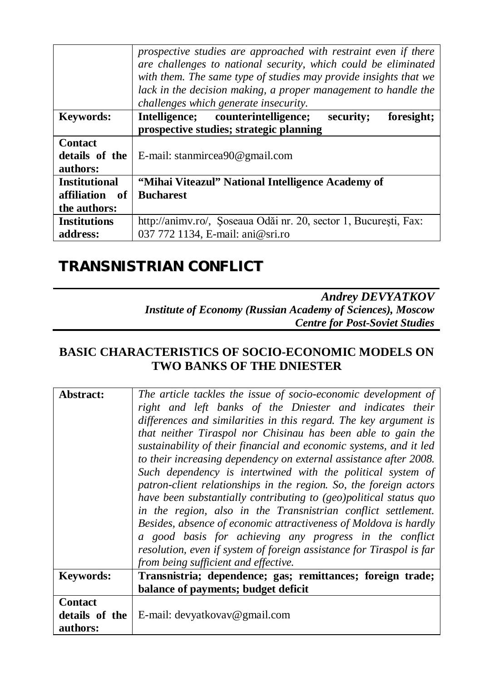|                      | prospective studies are approached with restraint even if there<br>are challenges to national security, which could be eliminated<br>with them. The same type of studies may provide insights that we<br>lack in the decision making, a proper management to handle the<br>challenges which generate insecurity. |  |
|----------------------|------------------------------------------------------------------------------------------------------------------------------------------------------------------------------------------------------------------------------------------------------------------------------------------------------------------|--|
| <b>Keywords:</b>     | Intelligence; counterintelligence;<br>security;<br>foresight;                                                                                                                                                                                                                                                    |  |
|                      | prospective studies; strategic planning                                                                                                                                                                                                                                                                          |  |
| <b>Contact</b>       |                                                                                                                                                                                                                                                                                                                  |  |
| details of the       | E-mail: stanmircea90@gmail.com                                                                                                                                                                                                                                                                                   |  |
| authors:             |                                                                                                                                                                                                                                                                                                                  |  |
| <b>Institutional</b> | "Mihai Viteazul" National Intelligence Academy of                                                                                                                                                                                                                                                                |  |
| affiliation<br>of    | <b>Bucharest</b>                                                                                                                                                                                                                                                                                                 |  |
| the authors:         |                                                                                                                                                                                                                                                                                                                  |  |
| <b>Institutions</b>  | http://animv.ro/, Soseaua Odăi nr. 20, sector 1, București, Fax:                                                                                                                                                                                                                                                 |  |
| address:             | 037 772 1134, E-mail: ani@sri.ro                                                                                                                                                                                                                                                                                 |  |

### *TRANSNISTRIAN CONFLICT*

*Andrey DEVYATKOV Institute of Economy (Russian Academy of Sciences), Moscow Centre for Post-Soviet Studies*

#### **BASIC CHARACTERISTICS OF SOCIO-ECONOMIC MODELS ON TWO BANKS OF THE DNIESTER**

| Abstract:                                    | The article tackles the issue of socio-economic development of<br>right and left banks of the Dniester and indicates their<br>differences and similarities in this regard. The key argument is<br>that neither Tiraspol nor Chisinau has been able to gain the<br>sustainability of their financial and economic systems, and it led<br>to their increasing dependency on external assistance after 2008.<br>Such dependency is intertwined with the political system of<br>patron-client relationships in the region. So, the foreign actors<br>have been substantially contributing to (geo)political status quo<br>in the region, also in the Transnistrian conflict settlement.<br>Besides, absence of economic attractiveness of Moldova is hardly<br>a good basis for achieving any progress in the conflict<br>resolution, even if system of foreign assistance for Tiraspol is far<br>from being sufficient and effective. |
|----------------------------------------------|------------------------------------------------------------------------------------------------------------------------------------------------------------------------------------------------------------------------------------------------------------------------------------------------------------------------------------------------------------------------------------------------------------------------------------------------------------------------------------------------------------------------------------------------------------------------------------------------------------------------------------------------------------------------------------------------------------------------------------------------------------------------------------------------------------------------------------------------------------------------------------------------------------------------------------|
| <b>Keywords:</b>                             | Transnistria; dependence; gas; remittances; foreign trade;<br>balance of payments; budget deficit                                                                                                                                                                                                                                                                                                                                                                                                                                                                                                                                                                                                                                                                                                                                                                                                                                  |
| <b>Contact</b><br>details of the<br>authors: | E-mail: devyatkovav@gmail.com                                                                                                                                                                                                                                                                                                                                                                                                                                                                                                                                                                                                                                                                                                                                                                                                                                                                                                      |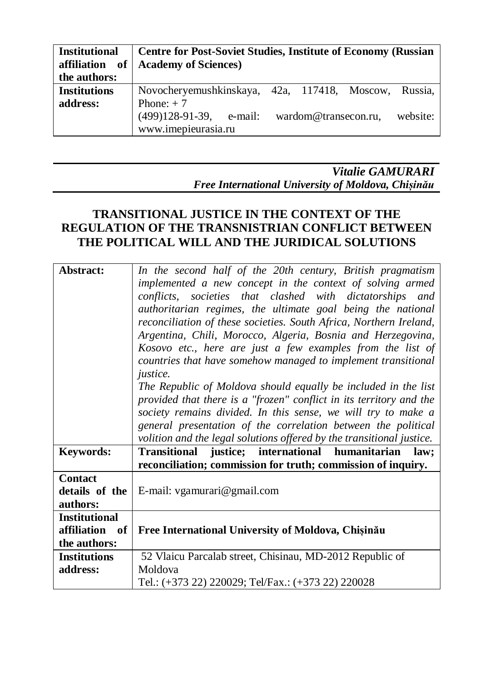| <b>Institutional</b> | Centre for Post-Soviet Studies, Institute of Economy (Russian  |
|----------------------|----------------------------------------------------------------|
|                      | affiliation of   Academy of Sciences)                          |
| the authors:         |                                                                |
| <b>Institutions</b>  | Novocheryemushkinskaya, 42a, 117418, Moscow, Russia,           |
| address:             | Phone: $+7$                                                    |
|                      | $(499)128-91-39$ , e-mail:<br>website:<br>wardom@transecon.ru, |
|                      | www.imepieurasia.ru                                            |

#### *Vitalie GAMURARI Free International University of Moldova, Chișinău*

#### **TRANSITIONAL JUSTICE IN THE CONTEXT OF THE REGULATION OF THE TRANSNISTRIAN CONFLICT BETWEEN THE POLITICAL WILL AND THE JURIDICAL SOLUTIONS**

| Abstract:                                              | In the second half of the 20th century, British pragmatism<br>implemented a new concept in the context of solving armed<br>conflicts, societies that clashed with dictatorships and<br>authoritarian regimes, the ultimate goal being the national<br>reconciliation of these societies. South Africa, Northern Ireland,<br>Argentina, Chili, Morocco, Algeria, Bosnia and Herzegovina,<br>Kosovo etc., here are just a few examples from the list of<br>countries that have somehow managed to implement transitional<br><i>justice.</i><br>The Republic of Moldova should equally be included in the list<br>provided that there is a "frozen" conflict in its territory and the<br>society remains divided. In this sense, we will try to make a<br>general presentation of the correlation between the political |
|--------------------------------------------------------|----------------------------------------------------------------------------------------------------------------------------------------------------------------------------------------------------------------------------------------------------------------------------------------------------------------------------------------------------------------------------------------------------------------------------------------------------------------------------------------------------------------------------------------------------------------------------------------------------------------------------------------------------------------------------------------------------------------------------------------------------------------------------------------------------------------------|
| <b>Keywords:</b>                                       | volition and the legal solutions offered by the transitional justice.<br>Transitional justice; international humanitarian law;                                                                                                                                                                                                                                                                                                                                                                                                                                                                                                                                                                                                                                                                                       |
|                                                        | reconciliation; commission for truth; commission of inquiry.                                                                                                                                                                                                                                                                                                                                                                                                                                                                                                                                                                                                                                                                                                                                                         |
| <b>Contact</b><br>details of the<br>authors:           | E-mail: vgamurari@gmail.com                                                                                                                                                                                                                                                                                                                                                                                                                                                                                                                                                                                                                                                                                                                                                                                          |
| <b>Institutional</b><br>affiliation of<br>the authors: | Free International University of Moldova, Chișinău                                                                                                                                                                                                                                                                                                                                                                                                                                                                                                                                                                                                                                                                                                                                                                   |
| <b>Institutions</b><br>address:                        | 52 Vlaicu Parcalab street, Chisinau, MD-2012 Republic of<br>Moldova<br>Tel.: (+373 22) 220029; Tel/Fax.: (+373 22) 220028                                                                                                                                                                                                                                                                                                                                                                                                                                                                                                                                                                                                                                                                                            |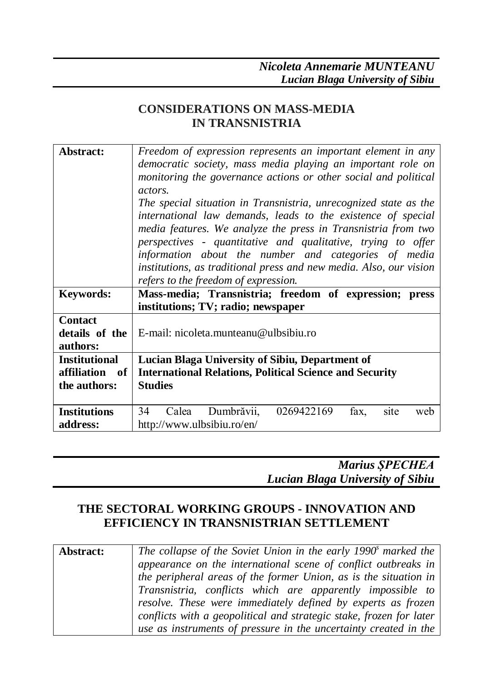#### **CONSIDERATIONS ON MASS-MEDIA IN TRANSNISTRIA**

| Abstract:                                    | Freedom of expression represents an important element in any<br>democratic society, mass media playing an important role on<br>monitoring the governance actions or other social and political<br><i>actors.</i><br>The special situation in Transnistria, unrecognized state as the<br>international law demands, leads to the existence of special<br>media features. We analyze the press in Transnistria from two<br>perspectives - quantitative and qualitative, trying to offer<br>information about the number and categories of media<br>institutions, as traditional press and new media. Also, our vision<br>refers to the freedom of expression. |  |
|----------------------------------------------|-------------------------------------------------------------------------------------------------------------------------------------------------------------------------------------------------------------------------------------------------------------------------------------------------------------------------------------------------------------------------------------------------------------------------------------------------------------------------------------------------------------------------------------------------------------------------------------------------------------------------------------------------------------|--|
| <b>Keywords:</b>                             | Mass-media; Transnistria; freedom of expression; press<br>institutions; TV; radio; newspaper                                                                                                                                                                                                                                                                                                                                                                                                                                                                                                                                                                |  |
| <b>Contact</b><br>details of the<br>authors: | E-mail: nicoleta.munteanu@ulbsibiu.ro                                                                                                                                                                                                                                                                                                                                                                                                                                                                                                                                                                                                                       |  |
| <b>Institutional</b>                         | Lucian Blaga University of Sibiu, Department of                                                                                                                                                                                                                                                                                                                                                                                                                                                                                                                                                                                                             |  |
| affiliation<br>of                            | <b>International Relations, Political Science and Security</b>                                                                                                                                                                                                                                                                                                                                                                                                                                                                                                                                                                                              |  |
| the authors:                                 | <b>Studies</b>                                                                                                                                                                                                                                                                                                                                                                                                                                                                                                                                                                                                                                              |  |
| <b>Institutions</b>                          | Dumbrăvii,<br>0269422169<br>34<br>Calea<br>fax,<br>site<br>web                                                                                                                                                                                                                                                                                                                                                                                                                                                                                                                                                                                              |  |
| address:                                     | http://www.ulbsibiu.ro/en/                                                                                                                                                                                                                                                                                                                                                                                                                                                                                                                                                                                                                                  |  |

*Marius ȘPECHEA Lucian Blaga University of Sibiu*

#### **THE SECTORAL WORKING GROUPS - INNOVATION AND EFFICIENCY IN TRANSNISTRIAN SETTLEMENT**

| Abstract: | The collapse of the Soviet Union in the early 1990 <sup>°</sup> marked the |
|-----------|----------------------------------------------------------------------------|
|           | appearance on the international scene of conflict outbreaks in             |
|           | the peripheral areas of the former Union, as is the situation in           |
|           | Transnistria, conflicts which are apparently impossible to                 |
|           | resolve. These were immediately defined by experts as frozen               |
|           | conflicts with a geopolitical and strategic stake, frozen for later        |
|           | use as instruments of pressure in the uncertainty created in the           |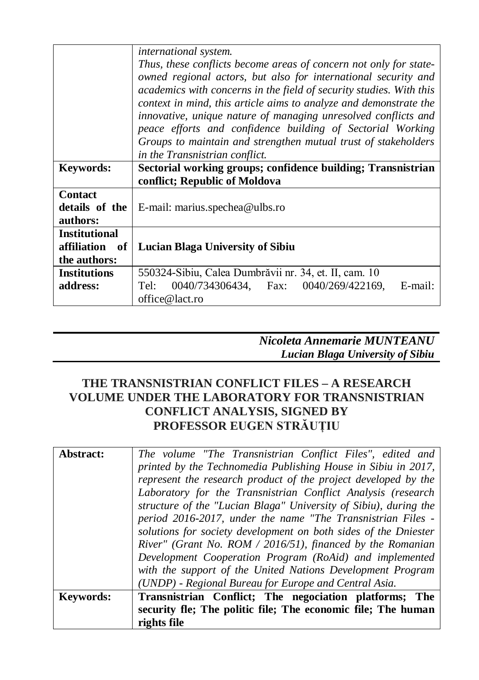|                      | international system.                                               |  |
|----------------------|---------------------------------------------------------------------|--|
|                      | Thus, these conflicts become areas of concern not only for state-   |  |
|                      | owned regional actors, but also for international security and      |  |
|                      | academics with concerns in the field of security studies. With this |  |
|                      | context in mind, this article aims to analyze and demonstrate the   |  |
|                      | innovative, unique nature of managing unresolved conflicts and      |  |
|                      | peace efforts and confidence building of Sectorial Working          |  |
|                      | Groups to maintain and strengthen mutual trust of stakeholders      |  |
|                      | in the Transnistrian conflict.                                      |  |
| <b>Keywords:</b>     | Sectorial working groups; confidence building; Transnistrian        |  |
|                      | conflict; Republic of Moldova                                       |  |
| <b>Contact</b>       |                                                                     |  |
| details of the       | E-mail: marius.spechea@ulbs.ro                                      |  |
| authors:             |                                                                     |  |
| <b>Institutional</b> |                                                                     |  |
| affiliation<br>of    | <b>Lucian Blaga University of Sibiu</b>                             |  |
| the authors:         |                                                                     |  |
| <b>Institutions</b>  | 550324-Sibiu, Calea Dumbrăvii nr. 34, et. II, cam. 10               |  |
| address:             | $0040/734306434$ , Fax: $0040/269/422169$ ,<br>E-mail:<br>Tel:      |  |
|                      | office@lact.ro                                                      |  |

| Nicoleta Annemarie MUNTEANU      |
|----------------------------------|
| Lucian Blaga University of Sibiu |

#### **THE TRANSNISTRIAN CONFLICT FILES – A RESEARCH VOLUME UNDER THE LABORATORY FOR TRANSNISTRIAN CONFLICT ANALYSIS, SIGNED BY PROFESSOR EUGEN STRĂUȚIU**

|           | with the support of the United Nations Development Program<br>(UNDP) - Regional Bureau for Europe and Central Asia.              |
|-----------|----------------------------------------------------------------------------------------------------------------------------------|
|           | River" (Grant No. ROM / 2016/51), financed by the Romanian<br>Development Cooperation Program (RoAid) and implemented            |
|           | period 2016-2017, under the name "The Transnistrian Files -<br>solutions for society development on both sides of the Dniester   |
|           | Laboratory for the Transnistrian Conflict Analysis (research<br>structure of the "Lucian Blaga" University of Sibiu), during the |
|           | represent the research product of the project developed by the                                                                   |
|           | printed by the Technomedia Publishing House in Sibiu in 2017,                                                                    |
| Abstract: | The volume "The Transnistrian Conflict Files", edited and                                                                        |